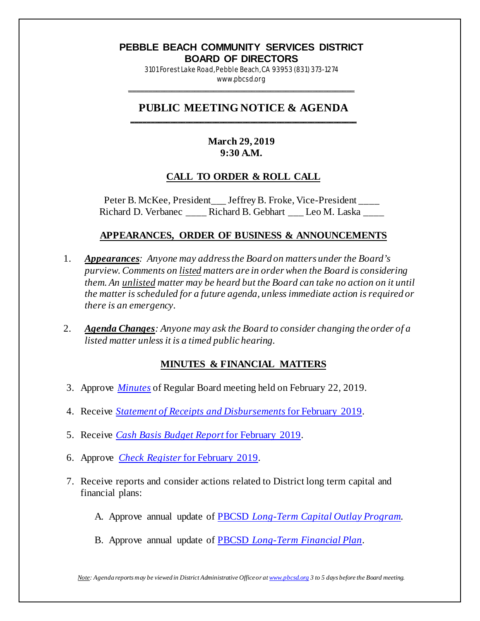#### **PEBBLE BEACH COMMUNITY SERVICES DISTRICT BOARD OF DIRECTORS**

3101 Forest Lake Road, Pebble Beach, CA 93953 (831) 373-1274 www.pbcsd.org

\_\_\_\_\_\_\_\_\_\_\_\_\_\_\_\_\_\_\_\_\_\_\_\_\_\_\_\_\_\_\_\_\_\_\_\_\_\_\_\_\_\_\_\_\_\_\_\_\_\_\_\_\_\_\_\_\_\_\_

#### **PUBLIC MEETING NOTICE & AGENDA \_\_\_\_\_\_\_\_\_\_\_\_\_\_\_\_\_\_\_\_\_\_\_\_\_\_\_\_\_\_\_\_\_\_\_\_\_\_\_\_\_\_\_\_\_\_\_\_\_\_\_\_\_\_\_\_\_\_\_**

# **March 29, 2019 9:30 A.M.**

### **CALL TO ORDER & ROLL CALL**

Peter B. McKee, President\_\_\_ Jeffrey B. Froke, Vice-President \_\_\_\_ Richard D. Verbanec **Richard B. Gebhart** Leo M. Laska

### **APPEARANCES, ORDER OF BUSINESS & ANNOUNCEMENTS**

- 1. *Appearances: Anyone may address the Board on matters under the Board's purview. Comments on listed matters are in order when the Board is considering them. An unlisted matter may be heard but the Board can take no action on it until the matter is scheduled for a future agenda, unless immediate action is required or there is an emergency.*
- 2. *Agenda Changes: Anyone may ask the Board to consider changing the order of a listed matter unless it is a timed public hearing.*

### **MINUTES & FINANCIAL MATTERS**

- 3. Approve *[Minutes](http://pbcsd.org/wp-content/uploads/pbcsd/meetings/board/2019/2019-03-29/03_19_0222_PBCSD_Draft_Minutes.pdf)* of Regular Board meeting held on February 22, 2019.
- 4. Receive *[Statement of Receipts and Disbursements](http://pbcsd.org/wp-content/uploads/pbcsd/meetings/board/2019/2019-03-29/04_Statement_of_Receipts__Disbursements_for_February_2019.pdf)* for February 2019.
- 5. Receive *[Cash Basis Budget Report](http://pbcsd.org/wp-content/uploads/pbcsd/meetings/board/2019/2019-03-29/05_Cash_Basis_Budget_Report_for_February_2019.pdf)* for February 2019.
- 6. Approve *[Check Register](http://pbcsd.org/wp-content/uploads/pbcsd/meetings/board/2019/2019-03-29/06_Check_Register_for_February_2019.pdf)* for February 2019.
- 7. Receive reports and consider actions related to District long term capital and financial plans:
	- A. Approve annual update of PBCSD *[Long-Term Capital Outlay Program.](http://pbcsd.org/wp-content/uploads/pbcsd/meetings/board/2019/2019-03-29/7A_Long-Term_Capital_Outlay_Program.pdf)*
	- B. Approve annual update of PBCSD *[Long-Term Financial Plan](http://pbcsd.org/wp-content/uploads/pbcsd/meetings/board/2019/2019-03-29/7B_PBCSD_Long_Term_Financial_Plan.pdf)*.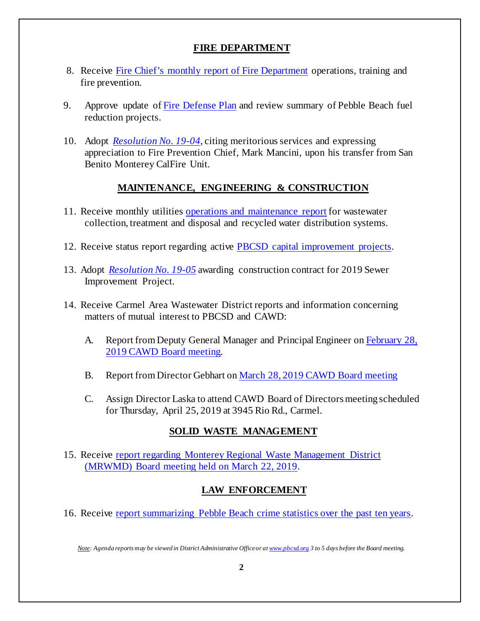# **FIRE DEPARTMENT**

- 8. Receive [Fire Chief's monthly report of Fire Department](http://pbcsd.org/wp-content/uploads/pbcsd/meetings/board/2019/2019-03-29/08_Fire_Chiefs_Monthly_Report_for_Fire_Department_Feb._15_to_March_14.pdf) operations, training and fire prevention.
- 9. Approve update o[f Fire Defense Plan](http://pbcsd.org/wp-content/uploads/pbcsd/meetings/board/2019/2019-03-29/09_Update_of_PBCSD_Fire_Defense_Plan.pdf) and review summary of Pebble Beach fuel reduction projects.
- 10. Adopt *[Resolution No. 19-04](http://pbcsd.org/wp-content/uploads/pbcsd/meetings/board/2019/2019-03-29/10_Resolution_19-04_Chief_Mancini_Transfer_Commendation.pdf)*, citing meritorious services and expressing appreciation to Fire Prevention Chief, Mark Mancini, upon his transfer from San Benito Monterey CalFire Unit.

# **MAINTENANCE, ENGINEERING & CONSTRUCTION**

- 11. Receive monthly utilities [operations and maintenance report](http://pbcsd.org/wp-content/uploads/pbcsd/meetings/board/2019/2019-03-29/11_Operations__Maintenance_Board_Report_for_March_2019.pdf) for wastewater collection, treatment and disposal and recycled water distribution systems.
- 12. Receive status report regarding active [PBCSD capital improvement projects.](http://pbcsd.org/wp-content/uploads/pbcsd/meetings/board/2019/2019-03-29/12_Capital_Improvement_Project_Report_for_March_2019.pdf)
- 13. Adopt *[Resolution No. 19-05](http://pbcsd.org/wp-content/uploads/pbcsd/meetings/board/2019/2019-03-29/13_Resolution_19-05_Awarding_Construction_Contract_for_2019_Sewer_Capital_Improvement_Project.pdf)* awarding construction contract for 2019 Sewer Improvement Project.
- 14. Receive Carmel Area Wastewater District reports and information concerning matters of mutual interest to PBCSD and CAWD:
	- A. Report from Deputy General Manager and Principal Engineer on February 28, 2019 [CAWD Board meeting.](http://pbcsd.org/wp-content/uploads/pbcsd/meetings/board/2019/2019-03-29/14A_CAWD_Agenda_and_Reports_for_Feb._28_2019.pdf)
	- B. Report from Director Gebhart on March 28, [2019 CAWD Board meeting](http://pbcsd.org/wp-content/uploads/pbcsd/meetings/board/2019/2019-03-29/14B_CAWD_Agenda__Board_Reports_for_March_28_2019.pdf)
	- C. Assign Director Laska to attend CAWD Board of Directors meeting scheduled for Thursday, April 25, 2019 at 3945 Rio Rd., Carmel.

# **SOLID WASTE MANAGEMENT**

15. Receive [report regarding Monterey Regional Waste Management District](http://pbcsd.org/wp-content/uploads/pbcsd/meetings/board/2019/2019-03-29/15_MRWMD_Board_Meeting_Agenda__GM_Report.pdf)  [\(MRWMD\) Board meeting held on March](http://pbcsd.org/wp-content/uploads/pbcsd/meetings/board/2019/2019-03-29/15_MRWMD_Board_Meeting_Agenda__GM_Report.pdf) 22, 2019.

# **LAW ENFORCEMENT**

16. Receive [report summarizing Pebble Beach crime statistics over the past ten years.](http://pbcsd.org/wp-content/uploads/pbcsd/meetings/board/2019/2019-03-29/16_Annual_Review_of_Pebble_Beach_Crime_Statistics.pdf)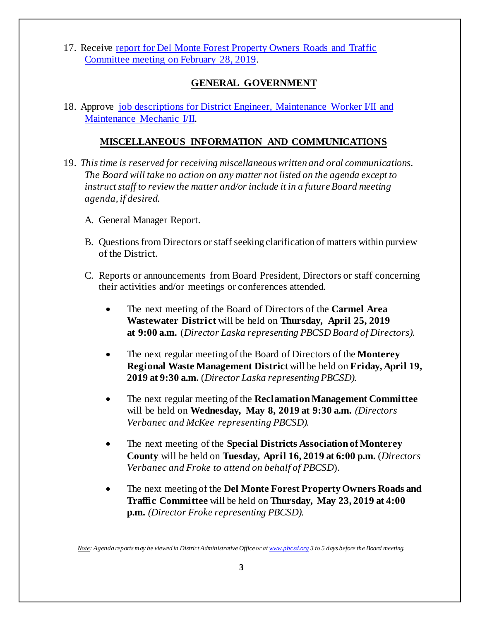17. Receive [report for Del Monte Forest Property Owners Roads and Traffic](http://pbcsd.org/wp-content/uploads/pbcsd/meetings/board/2019/2019-03-29/17_DMFPO_Roads__Traffic_Committee_Meeting_on_Feb._28_2019.pdf)  [Committee meeting on February 28, 2019.](http://pbcsd.org/wp-content/uploads/pbcsd/meetings/board/2019/2019-03-29/17_DMFPO_Roads__Traffic_Committee_Meeting_on_Feb._28_2019.pdf)

### **GENERAL GOVERNMENT**

18. Approve [job descriptions for District Engineer, Maintenance Worker I/II](http://pbcsd.org/wp-content/uploads/pbcsd/meetings/board/2019/2019-03-29/18_Maintenance_Engineer_Job_Descriptions.pdf) and [Maintenance Mechanic I/II.](http://pbcsd.org/wp-content/uploads/pbcsd/meetings/board/2019/2019-03-29/18_Maintenance_Engineer_Job_Descriptions.pdf)

#### **MISCELLANEOUS INFORMATION AND COMMUNICATIONS**

- 19. *This time is reserved for receiving miscellaneous written and oral communications. The Board will take no action on any matter not listed on the agenda except to instruct staff to review the matter and/or include it in a future Board meeting agenda, if desired.*
	- A. General Manager Report.
	- B. Questions from Directors or staff seeking clarification of matters within purview of the District.
	- C. Reports or announcements from Board President, Directors or staff concerning their activities and/or meetings or conferences attended.
		- The next meeting of the Board of Directors of the **Carmel Area Wastewater District** will be held on **Thursday, April 25, 2019 at 9:00 a.m.** (*Director Laska representing PBCSD Board of Directors).*
		- The next regular meeting of the Board of Directors of the **Monterey Regional Waste Management District**will be held on **Friday, April 19, 2019 at 9:30 a.m.** (*Director Laska representing PBCSD).*
		- The next regular meeting of the **Reclamation Management Committee** will be held on **Wednesday, May 8, 2019 at 9:30 a.m.** *(Directors Verbanec and McKee representing PBCSD).*
		- The next meeting of the **Special Districts Association of Monterey County** will be held on **Tuesday, April 16, 2019 at 6:00 p.m.** (*Directors Verbanec and Froke to attend on behalf of PBCSD*).
		- The next meeting of the **Del Monte Forest Property Owners Roads and Traffic Committee** will be held on **Thursday, May 23, 2019 at 4:00 p.m.** *(Director Froke representing PBCSD).*